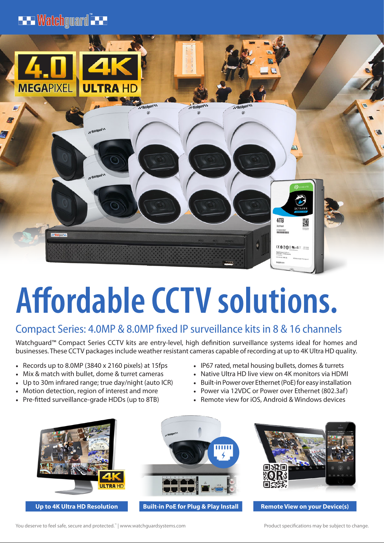## **ELEWatchguard** LELE



# **Affordable CCTV solutions.**

## Compact Series: 4.0MP & 8.0MP fixed IP surveillance kits in 8 & 16 channels

Watchguard™ Compact Series CCTV kits are entry-level, high definition surveillance systems ideal for homes and businesses. These CCTV packages include weather resistant cameras capable of recording at up to 4K Ultra HD quality.

- Records up to 8.0MP (3840 x 2160 pixels) at 15fps
- Mix & match with bullet, dome & turret cameras
- Up to 30m infrared range; true day/night (auto ICR)
- Motion detection, region of interest and more
- Pre-fitted surveillance-grade HDDs (up to 8TB)
- IP67 rated, metal housing bullets, domes & turrets
- Native Ultra HD live view on 4K monitors via HDMI
- Built-in Power over Ethernet (PoE) for easy installation
- Power via 12VDC or Power over Ethernet (802.3af)
- Remote view for iOS, Android & Windows devices





**Up to 4K Ultra HD Resolution Built-in PoE for Plug & Play Install Remote View on your Device(s)**